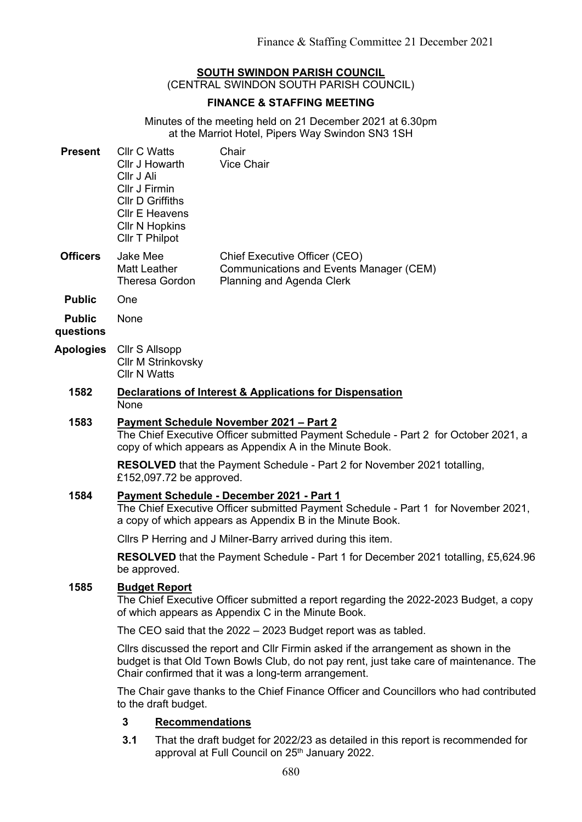## **SOUTH SWINDON PARISH COUNCIL**

(CENTRAL SWINDON SOUTH PARISH COUNCIL)

# **FINANCE & STAFFING MEETING**

Minutes of the meeting held on 21 December 2021 at 6.30pm at the Marriot Hotel, Pipers Way Swindon SN3 1SH

| <b>Present</b>             | <b>Cllr C Watts</b><br>Cllr J Howarth<br>Cllr J Ali<br>Cllr J Firmin<br><b>CIIr D Griffiths</b><br><b>Cllr E Heavens</b><br><b>CIIr N Hopkins</b><br>Cllr T Philpot                                                                    | Chair<br><b>Vice Chair</b>                                                                            |
|----------------------------|----------------------------------------------------------------------------------------------------------------------------------------------------------------------------------------------------------------------------------------|-------------------------------------------------------------------------------------------------------|
| <b>Officers</b>            | Jake Mee<br><b>Matt Leather</b><br><b>Theresa Gordon</b>                                                                                                                                                                               | Chief Executive Officer (CEO)<br>Communications and Events Manager (CEM)<br>Planning and Agenda Clerk |
| <b>Public</b>              | One                                                                                                                                                                                                                                    |                                                                                                       |
| <b>Public</b><br>questions | None                                                                                                                                                                                                                                   |                                                                                                       |
| <b>Apologies</b>           | Cllr S Allsopp<br><b>CIIr M Strinkovsky</b><br><b>Cllr N Watts</b>                                                                                                                                                                     |                                                                                                       |
| 1582                       | <b>Declarations of Interest &amp; Applications for Dispensation</b><br>None                                                                                                                                                            |                                                                                                       |
| 1583                       | <b>Payment Schedule November 2021 - Part 2</b><br>The Chief Executive Officer submitted Payment Schedule - Part 2 for October 2021, a<br>copy of which appears as Appendix A in the Minute Book.                                       |                                                                                                       |
|                            | <b>RESOLVED</b> that the Payment Schedule - Part 2 for November 2021 totalling,<br>£152,097.72 be approved.                                                                                                                            |                                                                                                       |
| 1584                       | Payment Schedule - December 2021 - Part 1<br>The Chief Executive Officer submitted Payment Schedule - Part 1 for November 2021,<br>a copy of which appears as Appendix B in the Minute Book.                                           |                                                                                                       |
|                            |                                                                                                                                                                                                                                        | Cllrs P Herring and J Milner-Barry arrived during this item.                                          |
|                            | be approved.                                                                                                                                                                                                                           | <b>RESOLVED</b> that the Payment Schedule - Part 1 for December 2021 totalling, £5,624.96             |
| 1585                       | <b>Budget Report</b><br>The Chief Executive Officer submitted a report regarding the 2022-2023 Budget, a copy<br>of which appears as Appendix C in the Minute Book.                                                                    |                                                                                                       |
|                            | The CEO said that the 2022 – 2023 Budget report was as tabled.                                                                                                                                                                         |                                                                                                       |
|                            | Cllrs discussed the report and Cllr Firmin asked if the arrangement as shown in the<br>budget is that Old Town Bowls Club, do not pay rent, just take care of maintenance. The<br>Chair confirmed that it was a long-term arrangement. |                                                                                                       |
|                            | The Chair gave thanks to the Chief Finance Officer and Councillors who had contributed<br>to the draft budget.                                                                                                                         |                                                                                                       |
|                            | 3<br><b>Recommendations</b>                                                                                                                                                                                                            |                                                                                                       |
|                            |                                                                                                                                                                                                                                        |                                                                                                       |

**3.1** That the draft budget for 2022/23 as detailed in this report is recommended for approval at Full Council on 25<sup>th</sup> January 2022.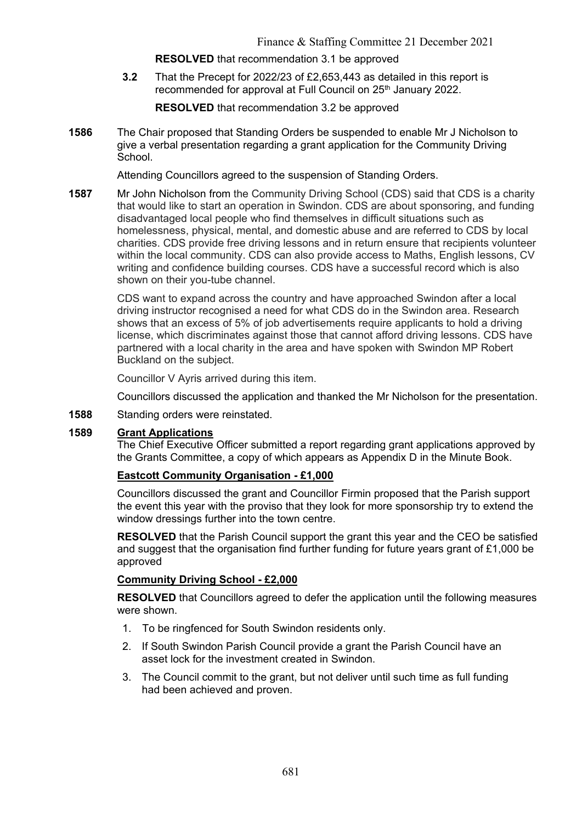#### **RESOLVED** that recommendation 3.1 be approved

**3.2** That the Precept for 2022/23 of £2,653,443 as detailed in this report is recommended for approval at Full Council on 25<sup>th</sup> January 2022.

**RESOLVED** that recommendation 3.2 be approved

**1586** The Chair proposed that Standing Orders be suspended to enable Mr J Nicholson to give a verbal presentation regarding a grant application for the Community Driving School.

Attending Councillors agreed to the suspension of Standing Orders.

**1587** Mr John Nicholson from the Community Driving School (CDS) said that CDS is a charity that would like to start an operation in Swindon. CDS are about sponsoring, and funding disadvantaged local people who find themselves in difficult situations such as homelessness, physical, mental, and domestic abuse and are referred to CDS by local charities. CDS provide free driving lessons and in return ensure that recipients volunteer within the local community. CDS can also provide access to Maths, English lessons, CV writing and confidence building courses. CDS have a successful record which is also shown on their you-tube channel.

> CDS want to expand across the country and have approached Swindon after a local driving instructor recognised a need for what CDS do in the Swindon area. Research shows that an excess of 5% of job advertisements require applicants to hold a driving license, which discriminates against those that cannot afford driving lessons. CDS have partnered with a local charity in the area and have spoken with Swindon MP Robert Buckland on the subject.

Councillor V Ayris arrived during this item.

Councillors discussed the application and thanked the Mr Nicholson for the presentation.

**1588** Standing orders were reinstated.

#### **1589 Grant Applications**

The Chief Executive Officer submitted a report regarding grant applications approved by the Grants Committee, a copy of which appears as Appendix D in the Minute Book.

## **Eastcott Community Organisation - £1,000**

Councillors discussed the grant and Councillor Firmin proposed that the Parish support the event this year with the proviso that they look for more sponsorship try to extend the window dressings further into the town centre.

**RESOLVED** that the Parish Council support the grant this year and the CEO be satisfied and suggest that the organisation find further funding for future years grant of £1,000 be approved

#### **Community Driving School - £2,000**

**RESOLVED** that Councillors agreed to defer the application until the following measures were shown.

- 1. To be ringfenced for South Swindon residents only.
- 2. If South Swindon Parish Council provide a grant the Parish Council have an asset lock for the investment created in Swindon.
- 3. The Council commit to the grant, but not deliver until such time as full funding had been achieved and proven.